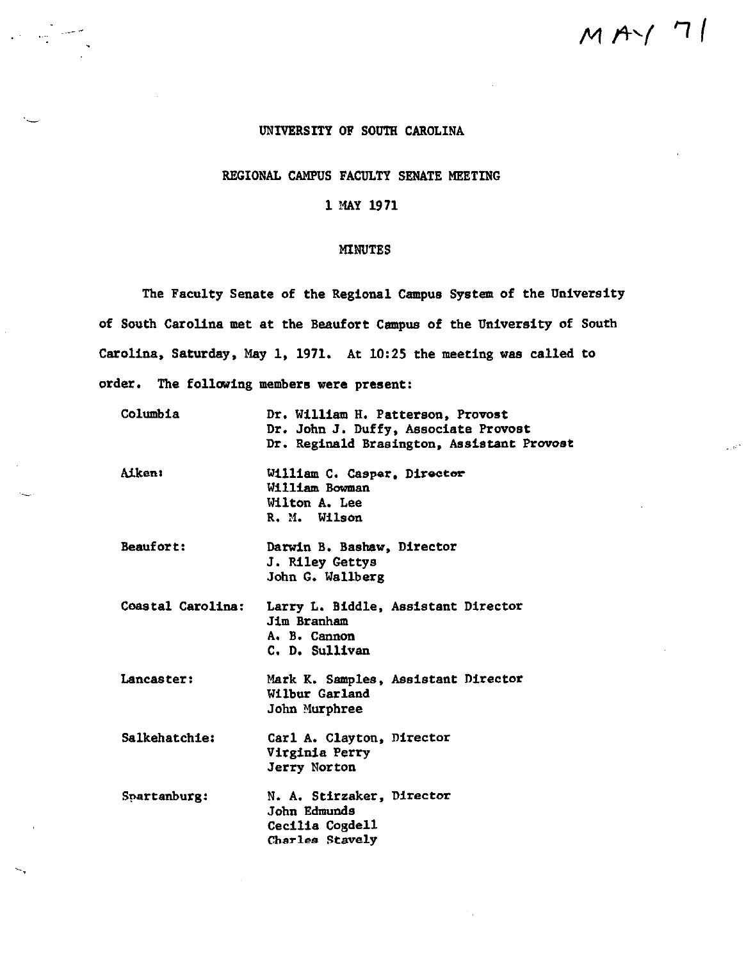# $M$ A $\cdot$ / 7/

. ar

### UNIVERSITY OF SOUTH CAROLINA

## REGIONAL CAMPUS FACULTY SENATE MEETING

#### l MAY 1971

#### MINUTES

The Faculty Senate of the Regional Campus System of the University of South Carolina met at the Beaufort Campus of the University of South Carolina, Saturday, May l, 1971, At 10:25 the meeting was called to order. The following members were present:

| Columbia          | Dr. William H. Patterson, Provost<br>Dr. John J. Duffy, Associate Provost<br>Dr. Reginald Brasington, Assistant Provost |
|-------------------|-------------------------------------------------------------------------------------------------------------------------|
| <b>Aiken:</b>     | William C. Casper, Director<br>William Bowman<br>Wilton A. Lee<br>R. M. Wilson                                          |
| <b>Beaufort:</b>  | Darwin B. Bashaw, Director<br>J. Riley Gettys<br>John G. Wallberg                                                       |
| Coastal Carolina: | Larry L. Biddle, Assistant Director<br>Jim Branham<br>A. B. Cannon<br>C. D. Sullivan                                    |
| Lancaster:        | Mark K. Samples, Assistant Director<br>Wilbur Garland<br>John Murphree                                                  |
| Salkehatchie:     | Carl A. Clayton, Director<br>Virginia Perry<br>Jerry Norton                                                             |
| Spartanburg:      | N. A. Stirzaker, Director<br>John Edmunds<br>Cecilia Cogdell<br>Charles Stavely                                         |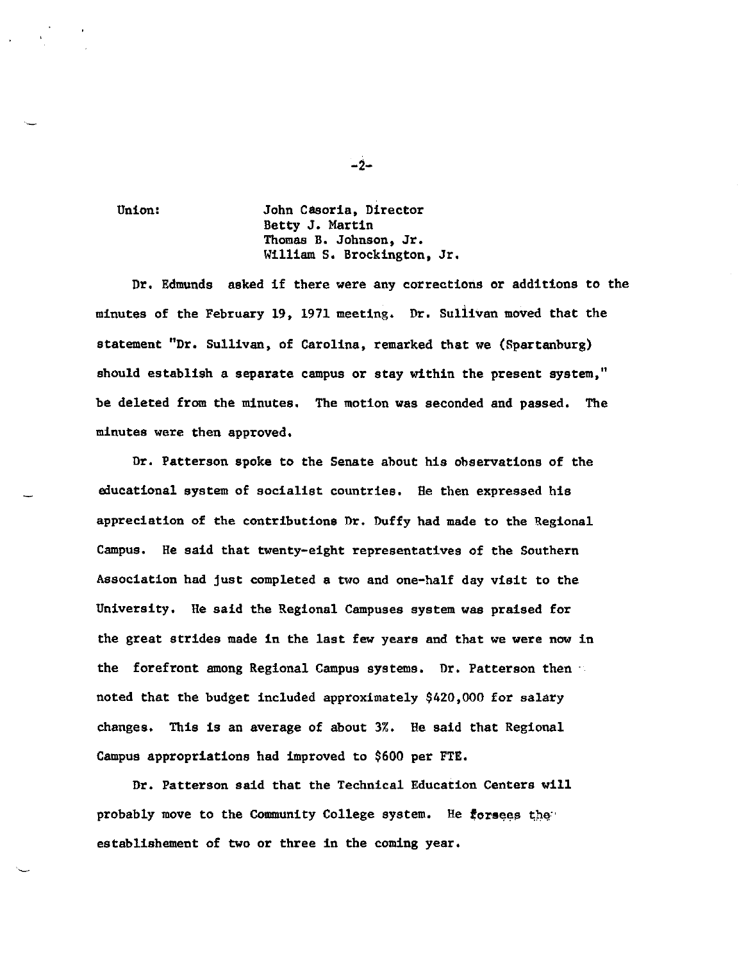Union: John Casoria, Director Betty J. Martin Thomas B. Johnson, Jr. William S, Brockington, Jr,

Dr. Edmunds asked if there were any corrections or additions to the minutes of the February 19, 1971 meeting. Dr. Sullivan moved that the statement "Dr. Sullivan, of Carolina, remarked that we (Spartanburg) should establish a separate campus or stay within the present system," be deleted from the minutes. The motion was seconded and passed. The minutes were then approved.

Dr, Patterson spoke to the Senate about his observations of the educational system of socialist countries. He then expressed his appreciation of the contributions Dr, Duffy had made to the Regional Campus. He said that twenty-eight representatives of the Southern Association had just completed a two and one-half day visit to the University. He said the Regional Campuses system was praised for the great strides made in the last few years and that we were now in the forefront among Regional Campus systems. Dr. Patterson then noted that the budget included approximately \$420,000 for salary changes. This is an average of about 3%. He said that Regional Campus appropriations had improved to \$600 per FTE.

Dr. Patterson said that the Technical Education Centers will probably move to the Community College system. He forsees the establishement of two or three in the coming year.

-2-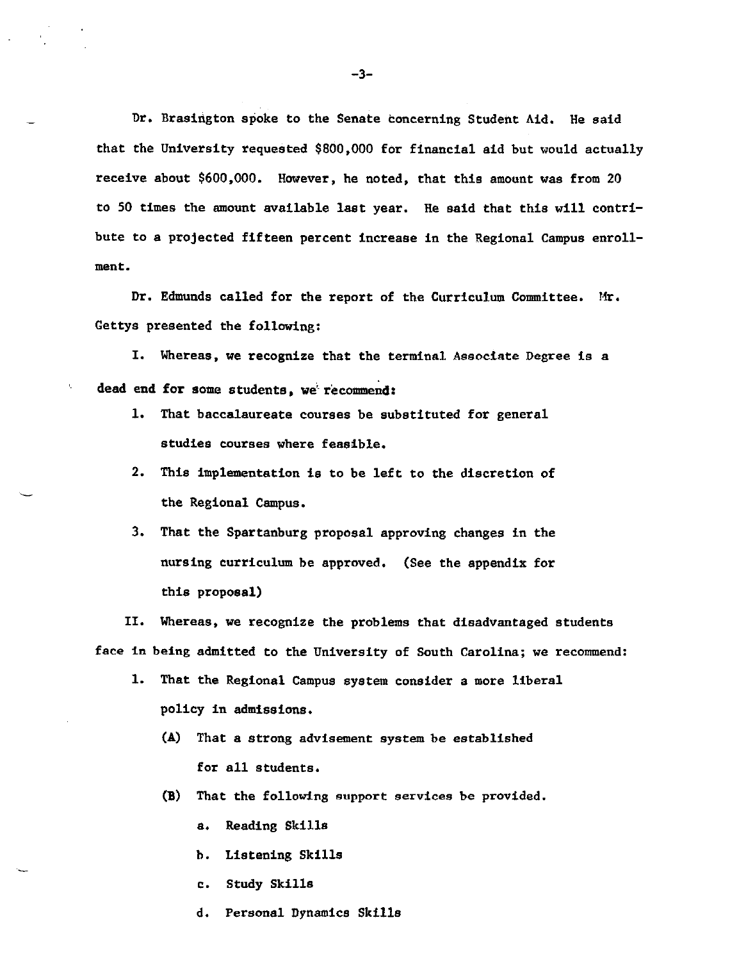Dr. Brasington spoke to the Senate concerning Student Aid. He said that the University requested \$800,000 for financial aid but would actually receive about \$600,000. However, he noted, that this amount was from 20 to 50 times the amount available **last** year. He said that this will contribute to a projected fifteen percent increase in the Regional Campus enrollment.

Dr. Edmunds called for the report of the Curriculum Committee. Mr, Gettys presented the following:

I, Whereas, we recognize that the terminal Associate Degree is a dead end for some students, we recommend:

- 1, That baccalaureate courses be substituted for general studies courses where feasible.
- 2. This implementation is to be left to the discretion of the Regional Campus.
- 3. That the Spartanburg proposal approving changes in the nursing curriculum be approved, {See the appendix for this proposal)

II, Whereas, we recognize the problems that disadvantaged students face in being admitted to the University of South Carolina; we recommend:

- 1. That the Regional Campus system consider a more liberal policy in admissions.
	- **{A)** That a strong advisement system be established for all students,
	- **(11)** That the following support services be provided.
		- a. Reading Skills
		- b, Listening Skills
		- c, Study Skills
		- d. Personal Dynamics Skills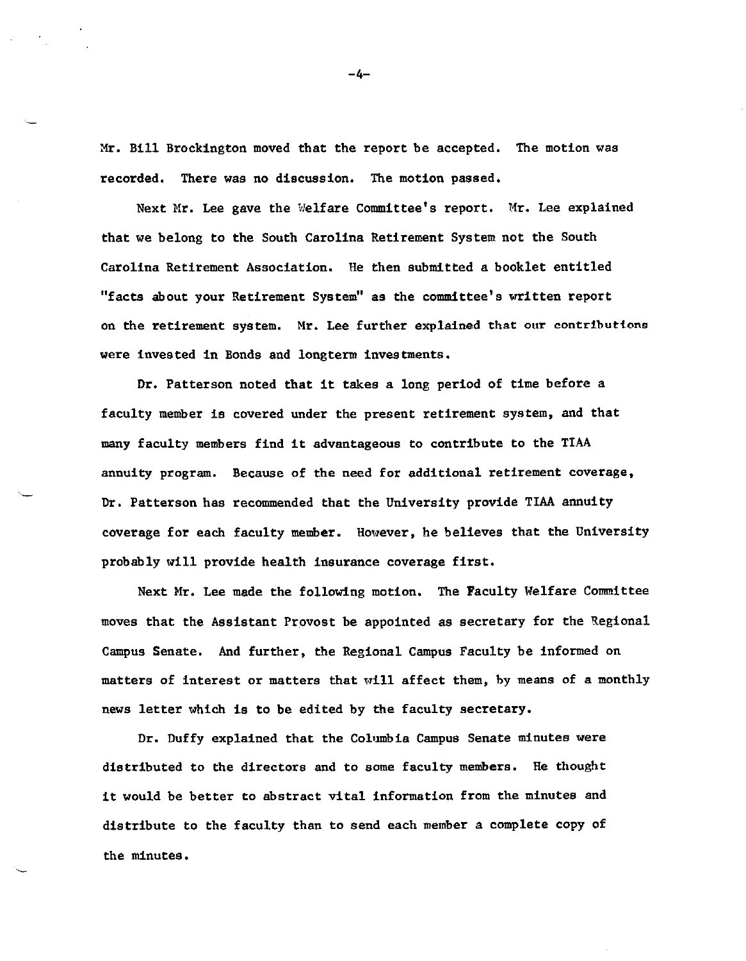Mr. Bill Brockington moved that the report be accepted. The motion was recorded. There was no discussion. The motion passed.

Next Mr. Lee gave the Welfare Committee's report. Mr. Lee explained that we belong to the South Carolina Retirement System not the South Carolina Retirement Association. He then submitted a booklet entitled "facts about your Retirement System" as the committee's written report on the retirement system. Mr. Lee further explained that our contributions were invested in Bonds and longterm investments.

Dr. Patterson noted **that** it takes a long period of time before a faculty member is covered under the present retirement system, and that many faculty members find it advantageous to contribute to the TIAA annuity program. Because of the need for additional retirement coverage, Dr. Patterson has recommended that the University provide TIAA annuity coverage for each faculty **member.** However, he believes that the University probably will provide health insurance coverage first.

Next Mr. Lee made the following motion. The Faculty Welfare Committee moves that the Assistant Provost be appointed as secretary for the Regional Campus Senate. And further, the Regional Campus Faculty be informed on matters of interest or matters that will affect them, by means of a monthly news letter which is to be edited by the faculty secretary.

Dr. Duffy explained that the Columbia Campus Senate minutes were distributed to the directors and to some faculty members. He thought it would be better to abstract vital information from the minutes and distribute to the faculty than to send each member a complete copy of the minutes.

-4-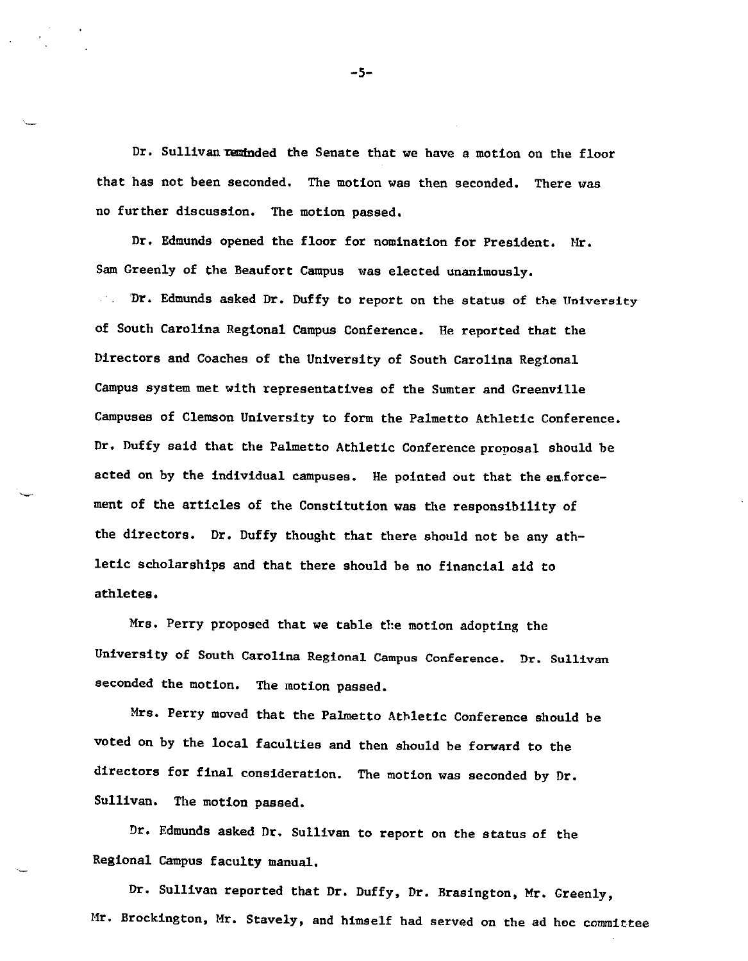Dr. Sullivan reminded the Senate that we have a motion on the floor that has not been seconded. The motion was then seconded. There was no further discussion, The motion passed,

Dr. Edmunds opened the floor for nomination for President. Mr. Sam Greenly of the Beaufort Campus was elected unanimously.  $\mathcal{C}^{\mathcal{C}}$  . Dr, Edmunds asked Dr. Duffy to report on the status of the University of South Carolina Regional Campus Conference. He reported that the Directors and Coaches of the University of South Carolina Regional Campus system met with representatives of the Sumter and Greenville Campuses of Clemson University to form the Palmetto Athletic Conference, Dr. Duffy said that the Palmetto Athletic Conference proposal should be acted on by the individual campuses. He pointed out that the enforcement of the articles of the Constitution was the responsibility of the directors, Dr. Duffy thought that there should not be any athletic scholarships and that there should be no financial aid to athletes.

Mrs, Perry proposed that we table the motion adopting the University of South Carolina Regional Campus Conference. Dr. Sullivan seconded the motion. The motion passed,

Mrs. Perry moved that the Palmetto Athletic Conference should be voted on by the local faculties and then should be forward to the directors for final consideration. The motion was seconded by Dr. Sullivan. The motion passed,

Dr, Edmunds asked Dr. Sullivan to report on the status of the Regional Campus faculty manual.

Dr. Sullivan reported that Dr, Duffy, Dr. Brasington, Mr. Greenly, Mr. Brockington, Mr. Stavely, and himself had served on the ad hoc committee

-5-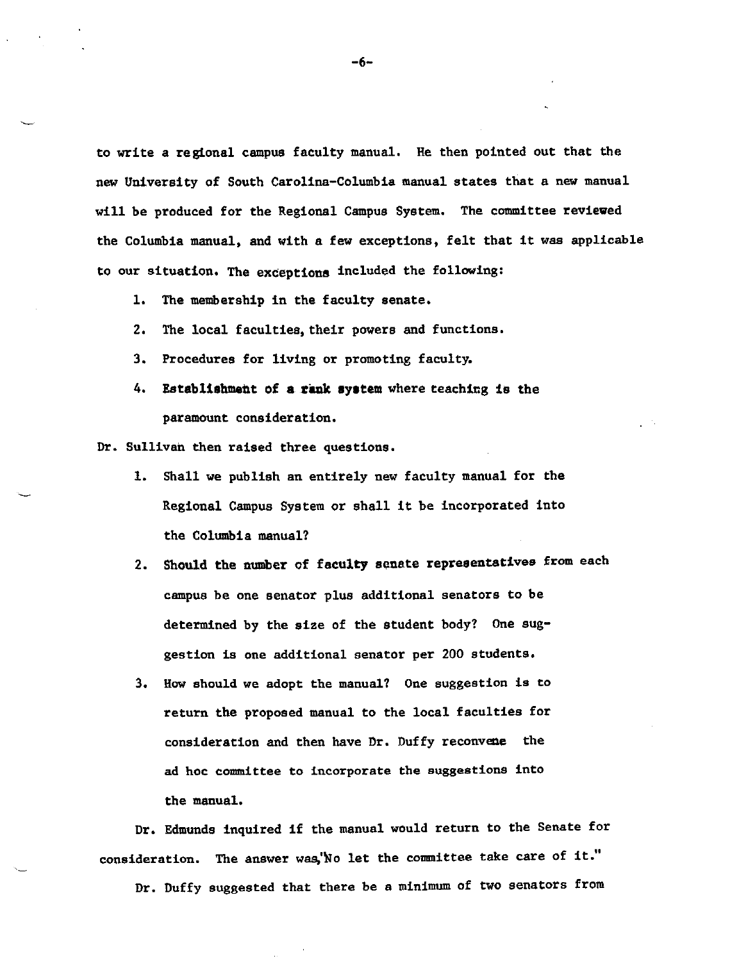to write a regional campus faculty manual, Re then pointed out that the new University of South Carolina-Columbia manual states that a new manual will be produced for the Regional Campus System. The committee reviewed the Columbia manual, and with a few exceptions, felt that it was applicable to our situation. The exceptions included the following:

1, The membership in the faculty senate.

- 2. The local faculties, their powers and functions.
- 3. Procedures for living or promoting faculty.
- 4. Establishment of **a riulk system** where teaching is the paramount consideration.

Dr. Sullivan then raised three questions.

- 1. Shall we publish an entirely new faculty manual for the Regional Campus System or shall it be incorporated into the Columbia manual?
- 2. **Should the number** of **faculty senate representatives** from each campus be one senator plus additional senators to be determined by the size of the student body? One suggestion is one additional senator per 200 students.
- 3. Row should we adopt the manual? One suggestion is to return the proposed manual to the local faculties for consideration and then have Dr. Duffy reconvene the ad hoc committee to incorporate the suggestions into the manual.

Dr. Edmunds inquired if the manual would return to the Senate for consideration. The answer was, No let the committee take care of it." Dr. Duffy suggested that there be a minimum of two senators from

-6-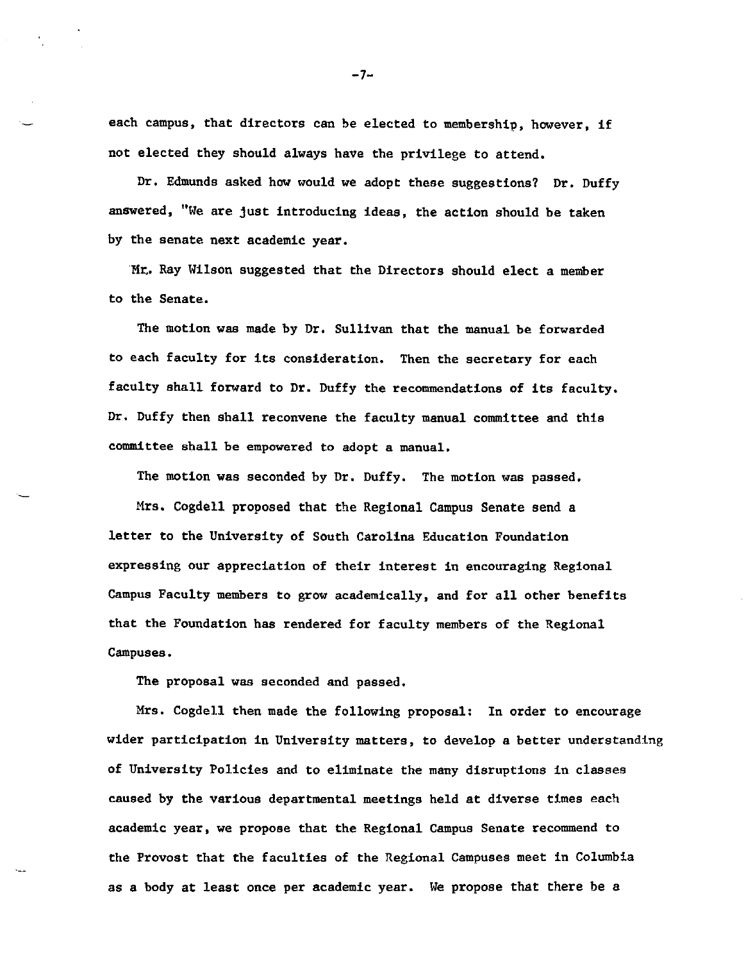each campus, that directors can be elected to membership, however, if not elected they should always have the privilege to attend,

Dr, Edmunds asked how would we adopt these suggestions? Dr, Duffy answered, "We are just introducing ideas, the action should be taken by the senate next academic year.

Mr. Ray Wilson suggested that the Directors should elect a member to the Senate.

The motion was made by Dr, Sullivan that the manual be forwarded to each faculty for its consideration. Then the secretary for each faculty shall forward to Dr. Duffy the recommendations of its faculty, Dr, Duffy then shall reconvene the faculty manual committee and this committee shall be empowered to adopt a manual,

The motion was seconded by Dr, Duffy, The motion was passed,

Mrs, Cogdell proposed that the Regional Campus Senate send a letter to the University of South Carolina Education Foundation expressing our appreciation of their interest in encouraging Regional Campus Faculty members to grow academically, and for all other benefits that the Foundation has rendered for faculty members of the Regional Campuses,

The proposal was seconded and passed,

Mrs. Cogdell then made the following proposal: In order to encourage wider participation in University matters, to develop a better understanding of University Policies and to eliminate the many disruptions in classes caused by the various departmental meetings held at diverse times each academic year, we propose that the Regional Campus Senate recommend to the Provost that the faculties of the Regional Campuses meet in Columbia as a body at least once per academic year. We propose that there be a

 $-7-$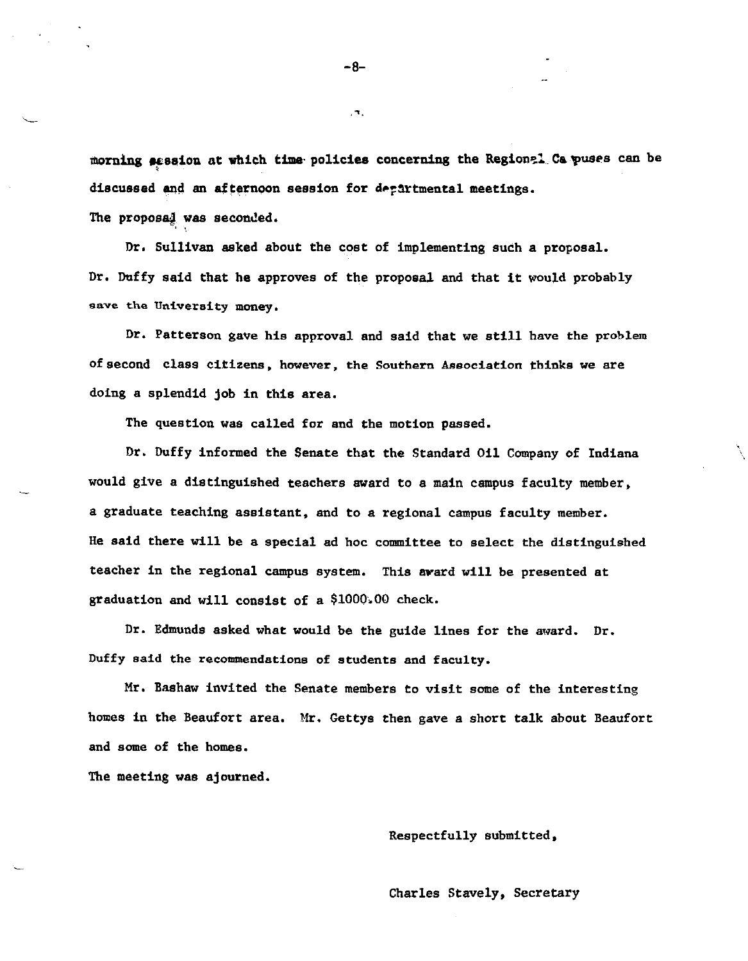morning session at which time policies concerning the Regionel Ca puses can be <sup>\*</sup> discussed and an afternoon session for departmental meetings.

The proposal was seconded.

Dr, Sullivan asked about the cost of implementing such a proposal, Dr. Duffy said that he approves of the proposal and that it would probably **save the University money.** 

Dr. Patterson gave his approval and said that we still have the problem of second class citizens, however, the Southern Association thinks we are doing a splendid job in this area.

The question was called for and the motion passed.

Dr. Duffy informed the Senate that the Standard Oil Company of Indiana would give a distinguished teachers award to a main campus faculty member, a graduate teaching assistant, and to a regional campus faculty member. He said there will be a special ad hoc committee to select the distinguished teacher in the regional campus system. This avard will be presented **at**  graduation and will consist of a \$1000,00 check.

Dr. Edmunds asked what would be the guide lines for the award. Dr. Duffy said the recommendations of students and faculty.

Mr, Bashaw invited the Senate members to visit some of the interesting homes in the Beaufort area. Mr. Gettys then gave a short talk about Beaufort and some of the homes.

The meeting was ajourned.

Respectfully submitted,

Charles Stavely, Secretary

-8-

 $, \bullet,$